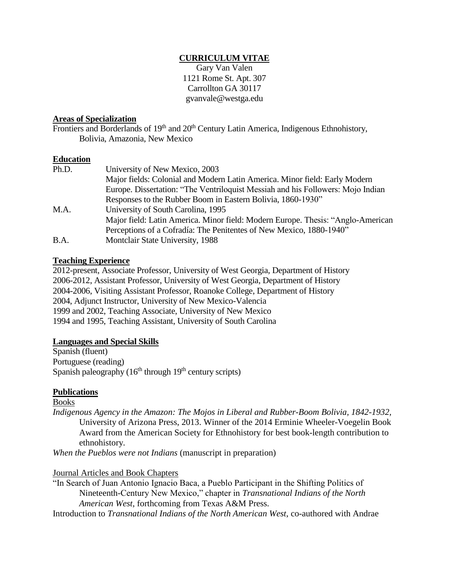### **CURRICULUM VITAE**

Gary Van Valen 1121 Rome St. Apt. 307 Carrollton GA 30117 gvanvale@westga.edu

### **Areas of Specialization**

Frontiers and Borderlands of 19<sup>th</sup> and 20<sup>th</sup> Century Latin America, Indigenous Ethnohistory, Bolivia, Amazonia, New Mexico

### **Education**

| Ph.D. | University of New Mexico, 2003                                                  |
|-------|---------------------------------------------------------------------------------|
|       | Major fields: Colonial and Modern Latin America. Minor field: Early Modern      |
|       | Europe. Dissertation: "The Ventriloquist Messiah and his Followers: Mojo Indian |
|       | Responses to the Rubber Boom in Eastern Bolivia, 1860-1930"                     |
| M.A.  | University of South Carolina, 1995                                              |
|       | Major field: Latin America. Minor field: Modern Europe. Thesis: "Anglo-American |
|       | Perceptions of a Cofradía: The Penitentes of New Mexico, 1880-1940"             |
| B.A.  | Montclair State University, 1988                                                |

### **Teaching Experience**

2012-present, Associate Professor, University of West Georgia, Department of History 2006-2012, Assistant Professor, University of West Georgia, Department of History 2004-2006, Visiting Assistant Professor, Roanoke College, Department of History 2004, Adjunct Instructor, University of New Mexico-Valencia 1999 and 2002, Teaching Associate, University of New Mexico 1994 and 1995, Teaching Assistant, University of South Carolina

### **Languages and Special Skills**

Spanish (fluent) Portuguese (reading) Spanish paleography  $(16<sup>th</sup>$  through  $19<sup>th</sup>$  century scripts)

### **Publications**

Books

*Indigenous Agency in the Amazon: The Mojos in Liberal and Rubber-Boom Bolivia, 1842-1932,* University of Arizona Press, 2013. Winner of the 2014 Erminie Wheeler-Voegelin Book Award from the American Society for Ethnohistory for best book-length contribution to ethnohistory.

*When the Pueblos were not Indians* (manuscript in preparation)

Journal Articles and Book Chapters

"In Search of Juan Antonio Ignacio Baca, a Pueblo Participant in the Shifting Politics of Nineteenth-Century New Mexico," chapter in *Transnational Indians of the North American West*, forthcoming from Texas A&M Press.

Introduction to *Transnational Indians of the North American West*, co-authored with Andrae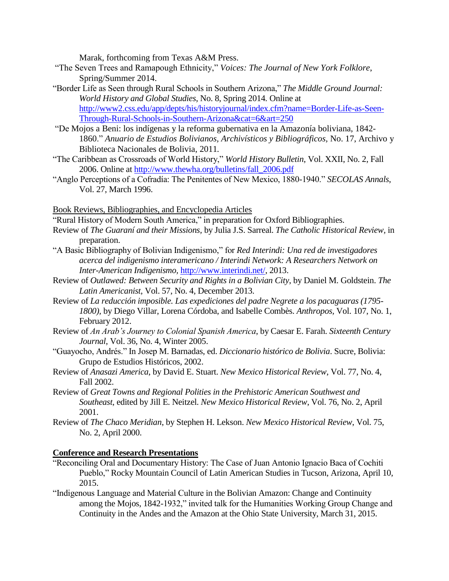Marak, forthcoming from Texas A&M Press.

- "The Seven Trees and Ramapough Ethnicity," *Voices: The Journal of New York Folklore*, Spring/Summer 2014.
- "Border Life as Seen through Rural Schools in Southern Arizona," *The Middle Ground Journal: World History and Global Studies*, No. 8, Spring 2014*.* Online at [http://www2.css.edu/app/depts/his/historyjournal/index.cfm?name=Border-Life-as-Seen-](http://www2.css.edu/app/depts/his/historyjournal/index.cfm?name=Border-Life-as-Seen-Through-Rural-Schools-in-Southern-Arizona&cat=6&art=250)[Through-Rural-Schools-in-Southern-Arizona&cat=6&art=250](http://www2.css.edu/app/depts/his/historyjournal/index.cfm?name=Border-Life-as-Seen-Through-Rural-Schools-in-Southern-Arizona&cat=6&art=250)
- "De Mojos a Beni: los indígenas y la reforma gubernativa en la Amazonía boliviana, 1842- 1860." *Anuario de Estudios Bolivianos, Archivísticos y Bibliográficos,* No. 17, Archivo y Biblioteca Nacionales de Bolivia, 2011*.*
- "The Caribbean as Crossroads of World History," *World History Bulletin*, Vol. XXII, No. 2, Fall 2006. Online at [http://www.thewha.org/bulletins/fall\\_2006.pdf](http://www.thewha.org/bulletins/fall_2006.pdf)
- "Anglo Perceptions of a Cofradía: The Penitentes of New Mexico, 1880-1940." *SECOLAS Annals*, Vol. 27, March 1996.

Book Reviews, Bibliographies, and Encyclopedia Articles

- "Rural History of Modern South America," in preparation for Oxford Bibliographies.
- Review of *The Guaraní and their Missions,* by Julia J.S. Sarreal. *The Catholic Historical Review,* in preparation.
- "A Basic Bibliography of Bolivian Indigenismo," for *Red Interindi: Una red de investigadores acerca del indigenismo interamericano / Interindi Network: A Researchers Network on Inter-American Indigenismo,* [http://www.interindi.net/,](http://www.interindi.net/) 2013.
- Review of *Outlawed: Between Security and Rights in a Bolivian City*, by Daniel M. Goldstein. *The Latin Americanist*, Vol. 57, No. 4, December 2013.
- Review of *La reducción imposible. Las expediciones del padre Negrete a los pacaguaras (1795- 1800),* by Diego Villar, Lorena Córdoba, and Isabelle Combès. *Anthropos,* Vol. 107, No. 1, February 2012.
- Review of *An Arab's Journey to Colonial Spanish America*, by Caesar E. Farah. *Sixteenth Century Journal*, Vol. 36, No. 4, Winter 2005.
- "Guayocho, Andrés." In Josep M. Barnadas, ed. *Diccionario histórico de Bolivia*. Sucre, Bolivia: Grupo de Estudios Históricos, 2002.
- Review of *Anasazi America*, by David E. Stuart. *New Mexico Historical Review*, Vol. 77, No. 4, Fall 2002.
- Review of *Great Towns and Regional Polities in the Prehistoric American Southwest and Southeast*, edited by Jill E. Neitzel. *New Mexico Historical Review*, Vol. 76, No. 2, April 2001.
- Review of *The Chaco Meridian*, by Stephen H. Lekson. *New Mexico Historical Review*, Vol. 75, No. 2, April 2000.

### **Conference and Research Presentations**

- "Reconciling Oral and Documentary History: The Case of Juan Antonio Ignacio Baca of Cochiti Pueblo," Rocky Mountain Council of Latin American Studies in Tucson, Arizona, April 10, 2015.
- "Indigenous Language and Material Culture in the Bolivian Amazon: Change and Continuity among the Mojos, 1842-1932," invited talk for the Humanities Working Group Change and Continuity in the Andes and the Amazon at the Ohio State University, March 31, 2015.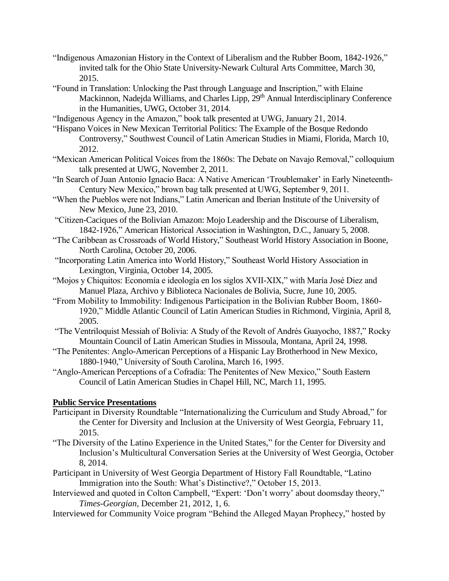- "Indigenous Amazonian History in the Context of Liberalism and the Rubber Boom, 1842-1926," invited talk for the Ohio State University-Newark Cultural Arts Committee, March 30, 2015.
- "Found in Translation: Unlocking the Past through Language and Inscription," with Elaine Mackinnon, Nadejda Williams, and Charles Lipp, 29<sup>th</sup> Annual Interdisciplinary Conference in the Humanities, UWG, October 31, 2014.
- "Indigenous Agency in the Amazon," book talk presented at UWG, January 21, 2014.
- "Hispano Voices in New Mexican Territorial Politics: The Example of the Bosque Redondo Controversy," Southwest Council of Latin American Studies in Miami, Florida, March 10, 2012.
- "Mexican American Political Voices from the 1860s: The Debate on Navajo Removal," colloquium talk presented at UWG, November 2, 2011.
- "In Search of Juan Antonio Ignacio Baca: A Native American 'Troublemaker' in Early Nineteenth-Century New Mexico," brown bag talk presented at UWG, September 9, 2011.
- "When the Pueblos were not Indians," Latin American and Iberian Institute of the University of New Mexico, June 23, 2010.
- "Citizen-Caciques of the Bolivian Amazon: Mojo Leadership and the Discourse of Liberalism, 1842-1926," American Historical Association in Washington, D.C., January 5, 2008.
- "The Caribbean as Crossroads of World History," Southeast World History Association in Boone, North Carolina, October 20, 2006.
- "Incorporating Latin America into World History," Southeast World History Association in Lexington, Virginia, October 14, 2005.
- "Mojos y Chiquitos: Economía e ideología en los siglos XVII-XIX," with María José Diez and Manuel Plaza, Archivo y Biblioteca Nacionales de Bolivia, Sucre, June 10, 2005.
- "From Mobility to Immobility: Indigenous Participation in the Bolivian Rubber Boom, 1860- 1920," Middle Atlantic Council of Latin American Studies in Richmond, Virginia, April 8, 2005.
- "The Ventriloquist Messiah of Bolivia: A Study of the Revolt of Andrés Guayocho, 1887," Rocky Mountain Council of Latin American Studies in Missoula, Montana, April 24, 1998.
- "The Penitentes: Anglo-American Perceptions of a Hispanic Lay Brotherhood in New Mexico, 1880-1940," University of South Carolina, March 16, 1995.
- "Anglo-American Perceptions of a Cofradía: The Penitentes of New Mexico," South Eastern Council of Latin American Studies in Chapel Hill, NC, March 11, 1995.

### **Public Service Presentations**

- Participant in Diversity Roundtable "Internationalizing the Curriculum and Study Abroad," for the Center for Diversity and Inclusion at the University of West Georgia, February 11, 2015.
- "The Diversity of the Latino Experience in the United States," for the Center for Diversity and Inclusion's Multicultural Conversation Series at the University of West Georgia, October 8, 2014.
- Participant in University of West Georgia Department of History Fall Roundtable, "Latino Immigration into the South: What's Distinctive?," October 15, 2013.
- Interviewed and quoted in Colton Campbell, "Expert: 'Don't worry' about doomsday theory," *Times-Georgian,* December 21, 2012, 1, 6.
- Interviewed for Community Voice program "Behind the Alleged Mayan Prophecy," hosted by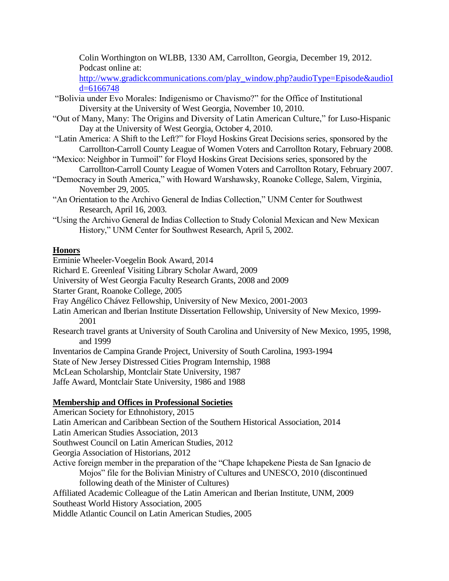Colin Worthington on WLBB, 1330 AM, Carrollton, Georgia, December 19, 2012. Podcast online at:

[http://www.gradickcommunications.com/play\\_window.php?audioType=Episode&audioI](http://www.gradickcommunications.com/play_window.php?audioType=Episode&audioId=6166748) [d=6166748](http://www.gradickcommunications.com/play_window.php?audioType=Episode&audioId=6166748)

- "Bolivia under Evo Morales: Indigenismo or Chavismo?" for the Office of Institutional Diversity at the University of West Georgia, November 10, 2010.
- "Out of Many, Many: The Origins and Diversity of Latin American Culture," for Luso-Hispanic Day at the University of West Georgia, October 4, 2010.
- "Latin America: A Shift to the Left?" for Floyd Hoskins Great Decisions series, sponsored by the Carrollton-Carroll County League of Women Voters and Carrollton Rotary, February 2008.
- "Mexico: Neighbor in Turmoil" for Floyd Hoskins Great Decisions series, sponsored by the Carrollton-Carroll County League of Women Voters and Carrollton Rotary, February 2007.
- "Democracy in South America," with Howard Warshawsky, Roanoke College, Salem, Virginia, November 29, 2005.
- "An Orientation to the Archivo General de Indias Collection," UNM Center for Southwest Research, April 16, 2003.
- "Using the Archivo General de Indias Collection to Study Colonial Mexican and New Mexican History," UNM Center for Southwest Research, April 5, 2002.

# **Honors**

Erminie Wheeler-Voegelin Book Award, 2014

Richard E. Greenleaf Visiting Library Scholar Award, 2009

University of West Georgia Faculty Research Grants, 2008 and 2009

Starter Grant, Roanoke College, 2005

- Fray Angélico Chávez Fellowship, University of New Mexico, 2001-2003
- Latin American and Iberian Institute Dissertation Fellowship, University of New Mexico, 1999- 2001
- Research travel grants at University of South Carolina and University of New Mexico, 1995, 1998, and 1999

Inventarios de Campina Grande Project, University of South Carolina, 1993-1994

State of New Jersey Distressed Cities Program Internship, 1988

McLean Scholarship, Montclair State University, 1987

Jaffe Award, Montclair State University, 1986 and 1988

# **Membership and Offices in Professional Societies**

American Society for Ethnohistory, 2015 Latin American and Caribbean Section of the Southern Historical Association, 2014 Latin American Studies Association, 2013 Southwest Council on Latin American Studies, 2012 Georgia Association of Historians, 2012 Active foreign member in the preparation of the "Chape Ichapekene Piesta de San Ignacio de Mojos" file for the Bolivian Ministry of Cultures and UNESCO, 2010 (discontinued following death of the Minister of Cultures) Affiliated Academic Colleague of the Latin American and Iberian Institute, UNM, 2009 Southeast World History Association, 2005 Middle Atlantic Council on Latin American Studies, 2005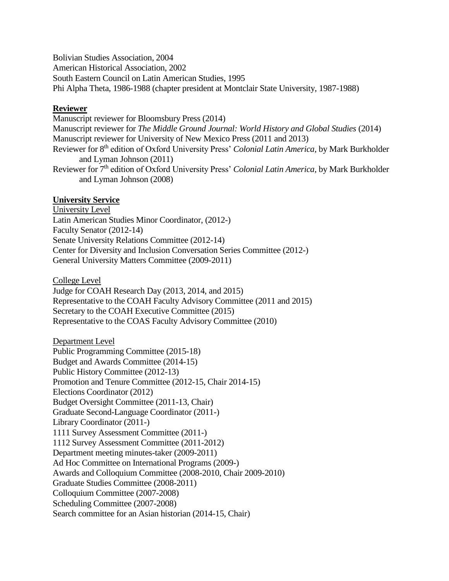Bolivian Studies Association, 2004 American Historical Association, 2002 South Eastern Council on Latin American Studies, 1995 Phi Alpha Theta, 1986-1988 (chapter president at Montclair State University, 1987-1988)

## **Reviewer**

Manuscript reviewer for Bloomsbury Press (2014) Manuscript reviewer for *The Middle Ground Journal: World History and Global Studies* (2014) Manuscript reviewer for University of New Mexico Press (2011 and 2013) Reviewer for 8th edition of Oxford University Press' *Colonial Latin America,* by Mark Burkholder and Lyman Johnson (2011) Reviewer for 7th edition of Oxford University Press' *Colonial Latin America,* by Mark Burkholder and Lyman Johnson (2008)

### **University Service**

University Level Latin American Studies Minor Coordinator, (2012-) Faculty Senator (2012-14) Senate University Relations Committee (2012-14) Center for Diversity and Inclusion Conversation Series Committee (2012-) General University Matters Committee (2009-2011)

College Level

Judge for COAH Research Day (2013, 2014, and 2015) Representative to the COAH Faculty Advisory Committee (2011 and 2015) Secretary to the COAH Executive Committee (2015) Representative to the COAS Faculty Advisory Committee (2010)

Department Level Public Programming Committee (2015-18) Budget and Awards Committee (2014-15) Public History Committee (2012-13) Promotion and Tenure Committee (2012-15, Chair 2014-15) Elections Coordinator (2012) Budget Oversight Committee (2011-13, Chair) Graduate Second-Language Coordinator (2011-) Library Coordinator (2011-) 1111 Survey Assessment Committee (2011-) 1112 Survey Assessment Committee (2011-2012) Department meeting minutes-taker (2009-2011) Ad Hoc Committee on International Programs (2009-) Awards and Colloquium Committee (2008-2010, Chair 2009-2010) Graduate Studies Committee (2008-2011) Colloquium Committee (2007-2008) Scheduling Committee (2007-2008) Search committee for an Asian historian (2014-15, Chair)